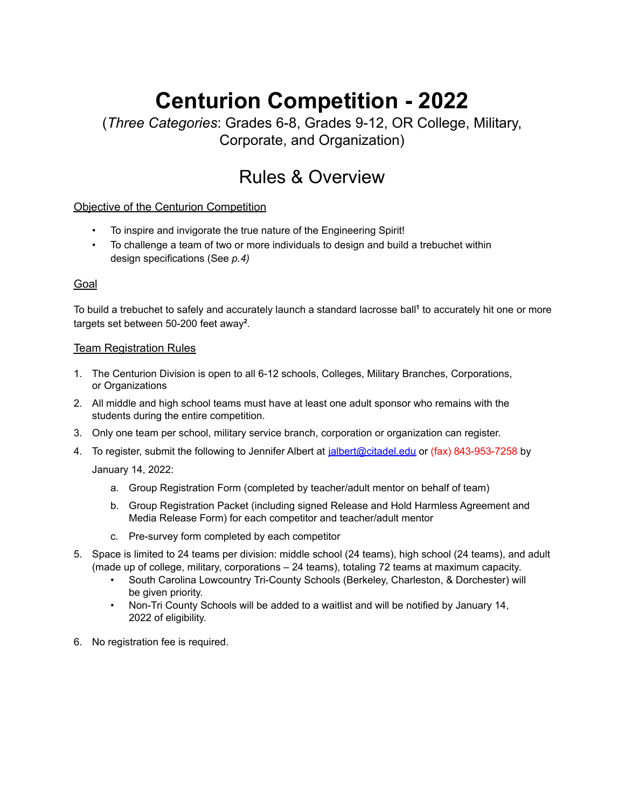# **Centurion Competition - 2022**

(*Three Categories*: Grades 6-8, Grades 9-12, OR College, Military, Corporate, and Organization)

## Rules & Overview

Objective of the Centurion Competition

- To inspire and invigorate the true nature of the Engineering Spirit!
- *•* To challenge a team of two or more individuals to design and build a trebuchet within design specifications (See *p.4)*

#### Goal

To build a trebuchet to safely and accurately launch a standard lacrosse ball **1** to accurately hit one or more targets set between 50-200 feet away<sup>2</sup>.

#### **Team Registration Rules**

- 1. The Centurion Division is open to all 6-12 schools, Colleges, Military Branches, Corporations, or Organizations
- 2. All middle and high school teams must have at least one adult sponsor who remains with the students during the entire competition.
- 3. Only one team per school, military service branch, corporation or organization can register.
- 4. To register, submit the following to Jennifer Albert at [jalbert@citadel.edu](mailto:jalbert@citadel.edu) or (fax) 843-953-7258 by

January 14, 2022:

- a. Group Registration Form (completed by teacher/adult mentor on behalf of team)
- b. Group Registration Packet (including signed Release and Hold Harmless Agreement and Media Release Form) for each competitor and teacher/adult mentor
- c. Pre-survey form completed by each competitor
- 5. Space is limited to 24 teams per division: middle school (24 teams), high school (24 teams), and adult (made up of college, military, corporations – 24 teams), totaling 72 teams at maximum capacity.
	- South Carolina Lowcountry Tri-County Schools (Berkeley, Charleston, & Dorchester) will be given priority.
	- Non-Tri County Schools will be added to a waitlist and will be notified by January 14, 2022 of eligibility.
- 6. No registration fee is required.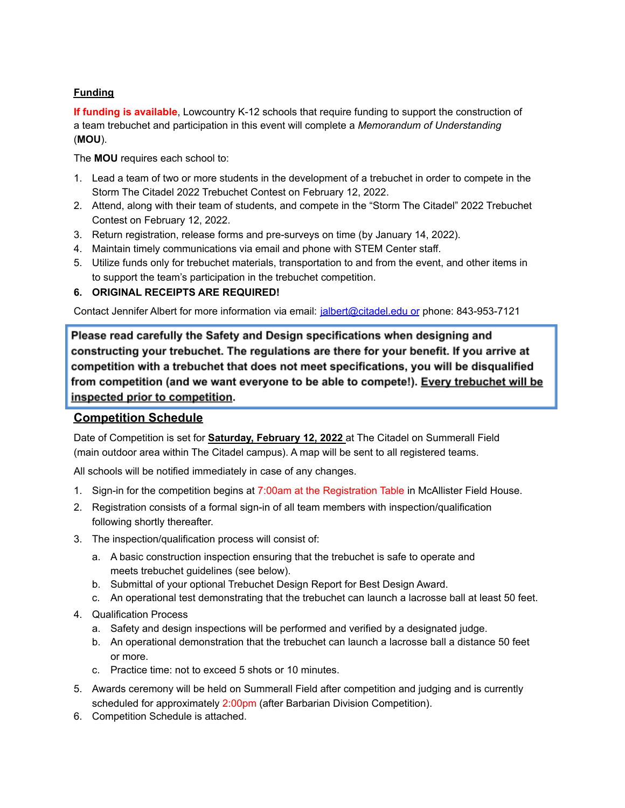#### **Funding**

**If funding is available**, Lowcountry K-12 schools that require funding to support the construction of a team trebuchet and participation in this event will complete a *Memorandum of Understanding* (**MOU**).

The **MOU** requires each school to:

- 1. Lead a team of two or more students in the development of a trebuchet in order to compete in the Storm The Citadel 2022 Trebuchet Contest on February 12, 2022.
- 2. Attend, along with their team of students, and compete in the "Storm The Citadel" 2022 Trebuchet Contest on February 12, 2022.
- 3. Return registration, release forms and pre-surveys on time (by January 14, 2022).
- 4. Maintain timely communications via email and phone with STEM Center staff.
- 5. Utilize funds only for trebuchet materials, transportation to and from the event, and other items in to support the team's participation in the trebuchet competition.

#### **6. ORIGINAL RECEIPTS ARE REQUIRED!**

Contact Jennifer Albert for more information via email: [jalbert@citadel.edu](mailto:jalbert@citadel.eduor) or phone: 843-953-7121

Please read carefully the Safety and Design specifications when designing and constructing your trebuchet. The regulations are there for your benefit. If you arrive at competition with a trebuchet that does not meet specifications, you will be disqualified from competition (and we want everyone to be able to compete!). Every trebuchet will be inspected prior to competition.

### **Competition Schedule**

Date of Competition is set for **Saturday, February 12, 2022** at The Citadel on Summerall Field (main outdoor area within The Citadel campus). A map will be sent to all registered teams.

All schools will be notified immediately in case of any changes.

- 1. Sign-in for the competition begins at 7:00am at the Registration Table in McAllister Field House.
- 2. Registration consists of a formal sign-in of all team members with inspection/qualification following shortly thereafter.
- 3. The inspection/qualification process will consist of:
	- a. A basic construction inspection ensuring that the trebuchet is safe to operate and meets trebuchet guidelines (see below).
	- b. Submittal of your optional Trebuchet Design Report for Best Design Award.
	- c. An operational test demonstrating that the trebuchet can launch a lacrosse ball at least 50 feet.
- 4. Qualification Process
	- a. Safety and design inspections will be performed and verified by a designated judge.
	- b. An operational demonstration that the trebuchet can launch a lacrosse ball a distance 50 feet or more.
	- c. Practice time: not to exceed 5 shots or 10 minutes.
- 5. Awards ceremony will be held on Summerall Field after competition and judging and is currently scheduled for approximately 2:00pm (after Barbarian Division Competition).
- 6. Competition Schedule is attached.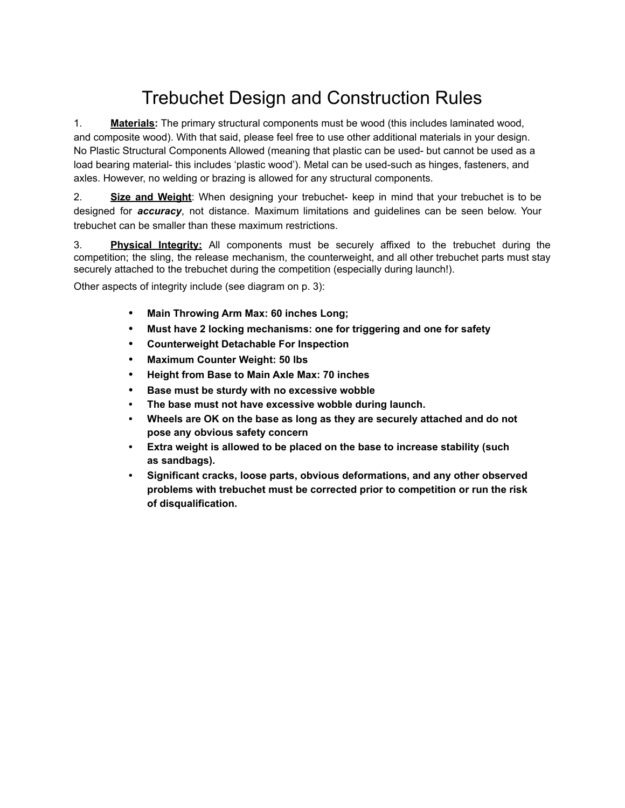## Trebuchet Design and Construction Rules

1. **Materials:** The primary structural components must be wood (this includes laminated wood, and composite wood). With that said, please feel free to use other additional materials in your design. No Plastic Structural Components Allowed (meaning that plastic can be used- but cannot be used as a load bearing material- this includes 'plastic wood'). Metal can be used-such as hinges, fasteners, and axles. However, no welding or brazing is allowed for any structural components.

2. **Size and Weight**: When designing your trebuchet- keep in mind that your trebuchet is to be designed for *accuracy*, not distance. Maximum limitations and guidelines can be seen below. Your trebuchet can be smaller than these maximum restrictions.

3. **Physical Integrity:** All components must be securely affixed to the trebuchet during the competition; the sling, the release mechanism, the counterweight, and all other trebuchet parts must stay securely attached to the trebuchet during the competition (especially during launch!).

Other aspects of integrity include (see diagram on p. 3):

- **• Main Throwing Arm Max: 60 inches Long;**
- **• Must have 2 locking mechanisms: one for triggering and one for safety**
- **• Counterweight Detachable For Inspection**
- **• Maximum Counter Weight: 50 lbs**
- **• Height from Base to Main Axle Max: 70 inches**
- **• Base must be sturdy with no excessive wobble**
- **• The base must not have excessive wobble during launch.**
- **• Wheels are OK on the base as long as they are securely attached and do not pose any obvious safety concern**
- **• Extra weight is allowed to be placed on the base to increase stability (such as sandbags).**
- **• Significant cracks, loose parts, obvious deformations, and any other observed problems with trebuchet must be corrected prior to competition or run the risk of disqualification.**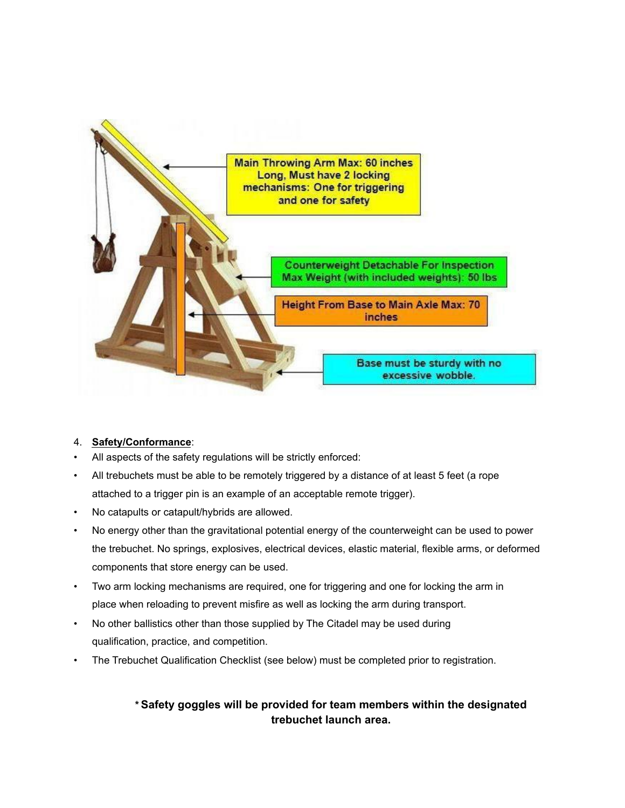

#### 4. **Safety/Conformance**:

- All aspects of the safety regulations will be strictly enforced:
- All trebuchets must be able to be remotely triggered by a distance of at least 5 feet (a rope attached to a trigger pin is an example of an acceptable remote trigger).
- No catapults or catapult/hybrids are allowed.
- No energy other than the gravitational potential energy of the counterweight can be used to power the trebuchet. No springs, explosives, electrical devices, elastic material, flexible arms, or deformed components that store energy can be used.
- Two arm locking mechanisms are required, one for triggering and one for locking the arm in place when reloading to prevent misfire as well as locking the arm during transport.
- No other ballistics other than those supplied by The Citadel may be used during qualification, practice, and competition.
- The Trebuchet Qualification Checklist (see below) must be completed prior to registration.

### *\** **Safety goggles will be provided for team members within the designated trebuchet launch area.**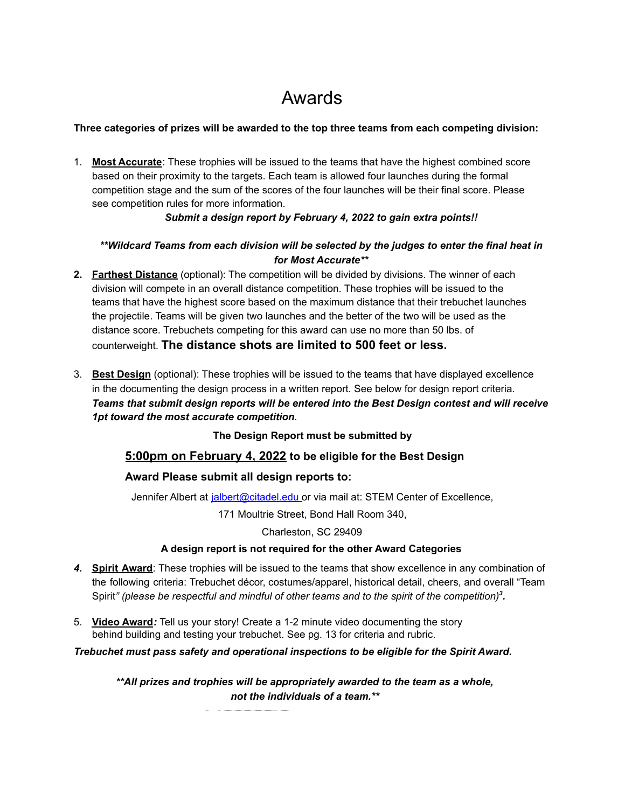## Awards

#### **Three categories of prizes will be awarded to the top three teams from each competing division:**

1. **Most Accurate**: These trophies will be issued to the teams that have the highest combined score based on their proximity to the targets. Each team is allowed four launches during the formal competition stage and the sum of the scores of the four launches will be their final score. Please see competition rules for more information.

#### *Submit a design report by February 4, 2022 to gain extra points!!*

#### *\*\*Wildcard Teams from each division will be selected by the judges to enter the final heat in for Most Accurate\*\**

- **2. Farthest Distance** (optional): The competition will be divided by divisions. The winner of each division will compete in an overall distance competition. These trophies will be issued to the teams that have the highest score based on the maximum distance that their trebuchet launches the projectile. Teams will be given two launches and the better of the two will be used as the distance score. Trebuchets competing for this award can use no more than 50 lbs. of counterweight. **The distance shots are limited to 500 feet or less.**
- 3. **Best Design** (optional): These trophies will be issued to the teams that have displayed excellence in the documenting the design process in a written report. See below for design report criteria. *Teams that submit design reports will be entered into the Best Design contest and will receive 1pt toward the most accurate competition*.

**The Design Report must be submitted by**

### **5:00pm on February 4, 2022 to be eligible for the Best Design**

#### **Award Please submit all design reports to:**

Jennifer Albert at [jalbert@citadel.edu](mailto:rewing@citadel.edu) or via mail at: STEM Center of Excellence,

171 Moultrie Street, Bond Hall Room 340,

#### Charleston, SC 29409

#### **A design report is not required for the other Award Categories**

- *4.* **Spirit Award**: These trophies will be issued to the teams that show excellence in any combination of the following criteria: Trebuchet décor, costumes/apparel, historical detail, cheers, and overall "Team Spirit*" (please be respectful and mindful of other teams and to the spirit of the competition) 3 .*
- 5. **Video Award***:* Tell us your story! Create a 1-2 minute video documenting the story behind building and testing your trebuchet. See pg. 13 for criteria and rubric.

#### *Trebuchet must pass safety and operational inspections to be eligible for the Spirit Award.*

*\*\*All prizes and trophies will be appropriately awarded to the team as a whole, not the individuals of a team.\*\**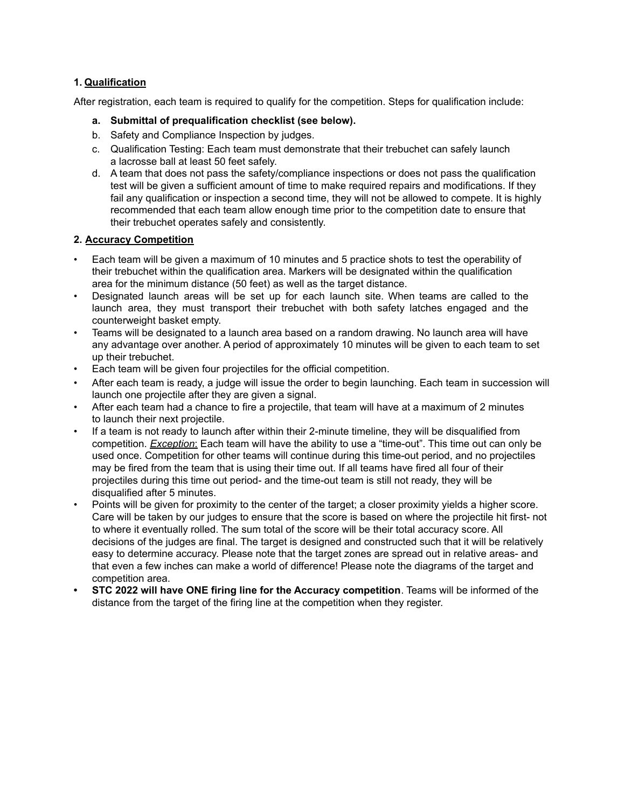#### **1. Qualification**

After registration, each team is required to qualify for the competition. Steps for qualification include:

- **a. Submittal of prequalification checklist (see below).**
- b. Safety and Compliance Inspection by judges.
- c. Qualification Testing: Each team must demonstrate that their trebuchet can safely launch a lacrosse ball at least 50 feet safely.
- d. A team that does not pass the safety/compliance inspections or does not pass the qualification test will be given a sufficient amount of time to make required repairs and modifications. If they fail any qualification or inspection a second time, they will not be allowed to compete. It is highly recommended that each team allow enough time prior to the competition date to ensure that their trebuchet operates safely and consistently.

#### **2. Accuracy Competition**

- Each team will be given a maximum of 10 minutes and 5 practice shots to test the operability of their trebuchet within the qualification area. Markers will be designated within the qualification area for the minimum distance (50 feet) as well as the target distance.
- Designated launch areas will be set up for each launch site. When teams are called to the launch area, they must transport their trebuchet with both safety latches engaged and the counterweight basket empty.
- Teams will be designated to a launch area based on a random drawing. No launch area will have any advantage over another. A period of approximately 10 minutes will be given to each team to set up their trebuchet.
- Each team will be given four projectiles for the official competition.
- After each team is ready, a judge will issue the order to begin launching. Each team in succession will launch one projectile after they are given a signal.
- After each team had a chance to fire a projectile, that team will have at a maximum of 2 minutes to launch their next projectile.
- If a team is not ready to launch after within their 2-minute timeline, they will be disqualified from competition. *Exception*: Each team will have the ability to use a "time-out". This time out can only be used once. Competition for other teams will continue during this time-out period, and no projectiles may be fired from the team that is using their time out. If all teams have fired all four of their projectiles during this time out period- and the time-out team is still not ready, they will be disqualified after 5 minutes.
- Points will be given for proximity to the center of the target; a closer proximity yields a higher score. Care will be taken by our judges to ensure that the score is based on where the projectile hit first- not to where it eventually rolled. The sum total of the score will be their total accuracy score. All decisions of the judges are final. The target is designed and constructed such that it will be relatively easy to determine accuracy. Please note that the target zones are spread out in relative areas- and that even a few inches can make a world of difference! Please note the diagrams of the target and competition area.
- **• STC 2022 will have ONE firing line for the Accuracy competition**. Teams will be informed of the distance from the target of the firing line at the competition when they register.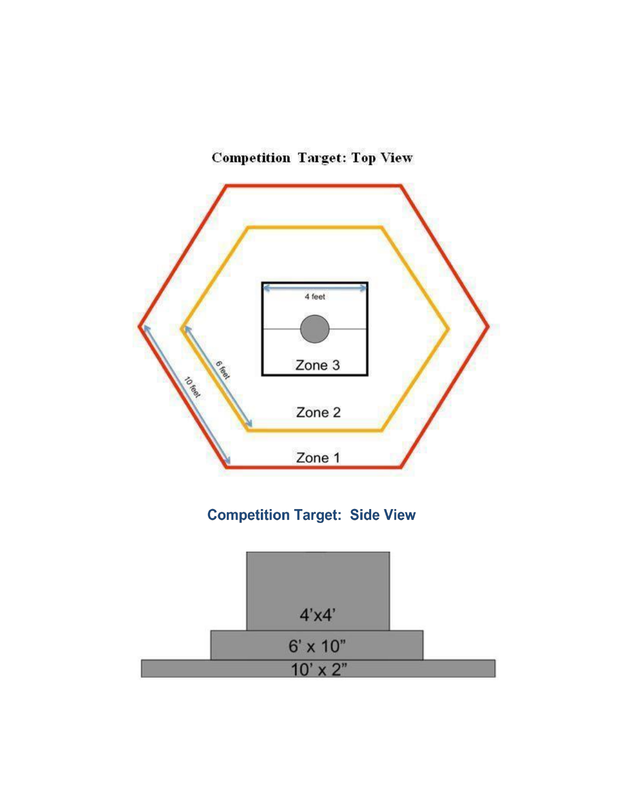

## **Competition Target: Top View**

## **Competition Target: Side View**

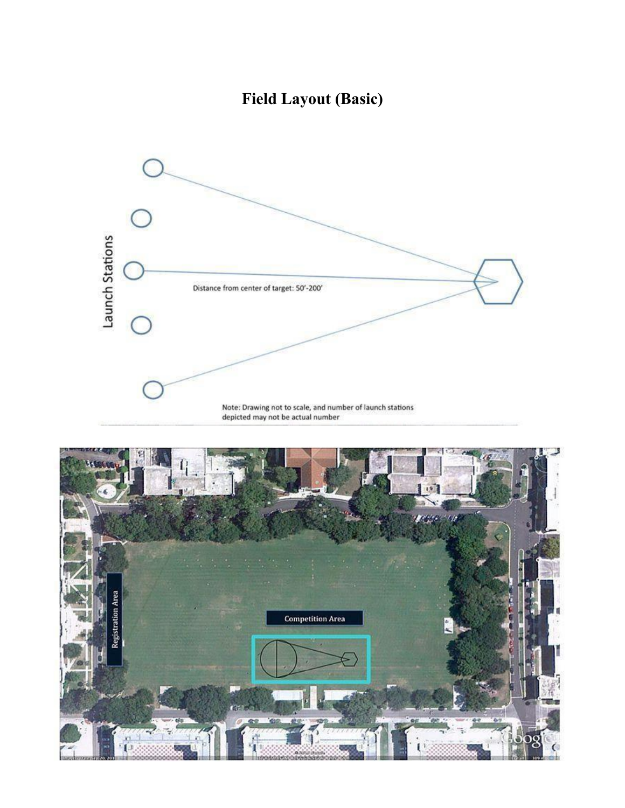## **Field Layout (Basic)**



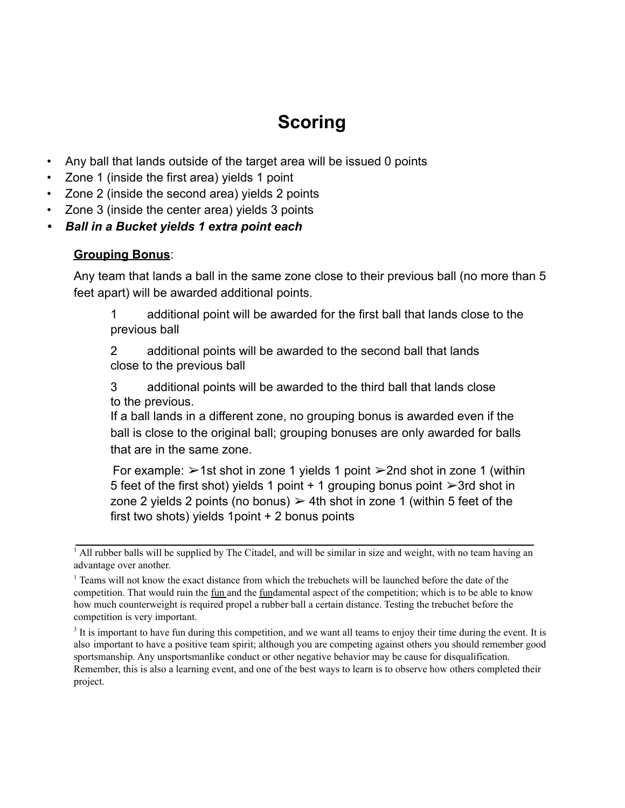# **Scoring**

- Any ball that lands outside of the target area will be issued 0 points
- Zone 1 (inside the first area) yields 1 point
- Zone 2 (inside the second area) yields 2 points
- Zone 3 (inside the center area) yields 3 points
- *• Ball in a Bucket yields 1 extra point each*

### **Grouping Bonus**:

Any team that lands a ball in the same zone close to their previous ball (no more than 5 feet apart) will be awarded additional points.

1 additional point will be awarded for the first ball that lands close to the previous ball

2 additional points will be awarded to the second ball that lands close to the previous ball

3 additional points will be awarded to the third ball that lands close to the previous.

If a ball lands in a different zone, no grouping bonus is awarded even if the ball is close to the original ball; grouping bonuses are only awarded for balls that are in the same zone.

For example:  $\geq 1$ st shot in zone 1 yields 1 point  $\geq 2$ nd shot in zone 1 (within 5 feet of the first shot) yields 1 point  $+$  1 grouping bonus point  $\geq 3$ rd shot in zone 2 yields 2 points (no bonus)  $\geq 4$ th shot in zone 1 (within 5 feet of the first two shots) yields 1point + 2 bonus points

<sup>3</sup> It is important to have fun during this competition, and we want all teams to enjoy their time during the event. It is also important to have a positive team spirit; although you are competing against others you should remember good sportsmanship. Any unsportsmanlike conduct or other negative behavior may be cause for disqualification. Remember, this is also a learning event, and one of the best ways to learn is to observe how others completed their project.

<sup>&</sup>lt;sup>1</sup> All rubber balls will be supplied by The Citadel, and will be similar in size and weight, with no team having an advantage over another.

<sup>&</sup>lt;sup>1</sup> Teams will not know the exact distance from which the trebuchets will be launched before the date of the competition. That would ruin the fun and the fundamental aspect of the competition; which is to be able to know how much counterweight is required propel a rubber ball a certain distance. Testing the trebuchet before the competition is very important.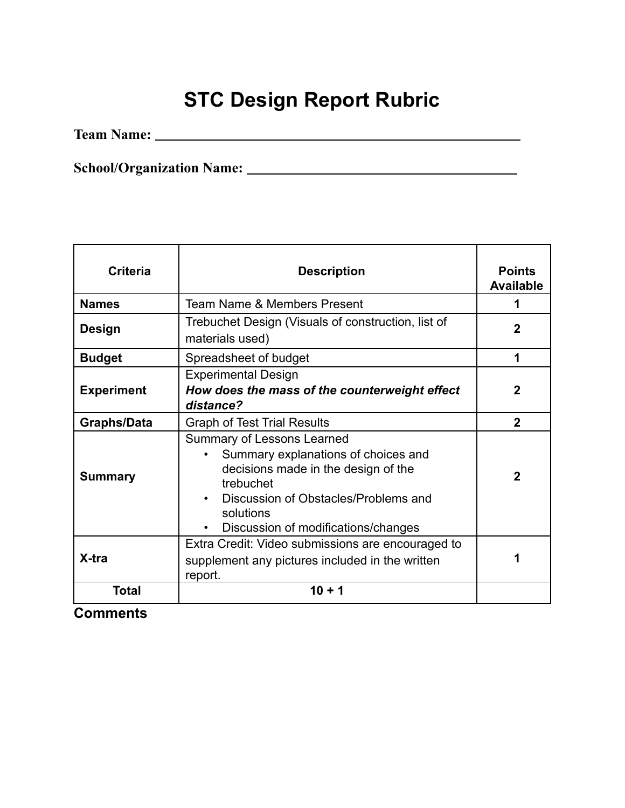# **STC Design Report Rubric**

**Team Name:**

**School/Organization Name:**

| <b>Criteria</b>    | <b>Description</b>                                                                                                                                                                                                | <b>Points</b><br><b>Available</b> |
|--------------------|-------------------------------------------------------------------------------------------------------------------------------------------------------------------------------------------------------------------|-----------------------------------|
| <b>Names</b>       | Team Name & Members Present                                                                                                                                                                                       | 1                                 |
| <b>Design</b>      | Trebuchet Design (Visuals of construction, list of<br>materials used)                                                                                                                                             | $\mathbf 2$                       |
| <b>Budget</b>      | Spreadsheet of budget                                                                                                                                                                                             | 1                                 |
| <b>Experiment</b>  | <b>Experimental Design</b><br>How does the mass of the counterweight effect<br>distance?                                                                                                                          | $\mathbf{2}$                      |
| <b>Graphs/Data</b> | <b>Graph of Test Trial Results</b>                                                                                                                                                                                | $\overline{2}$                    |
| <b>Summary</b>     | Summary of Lessons Learned<br>Summary explanations of choices and<br>decisions made in the design of the<br>trebuchet<br>Discussion of Obstacles/Problems and<br>solutions<br>Discussion of modifications/changes | $\overline{2}$                    |
| X-tra              | Extra Credit: Video submissions are encouraged to<br>supplement any pictures included in the written<br>report.                                                                                                   |                                   |
| <b>Total</b>       | $10 + 1$                                                                                                                                                                                                          |                                   |

**Comments**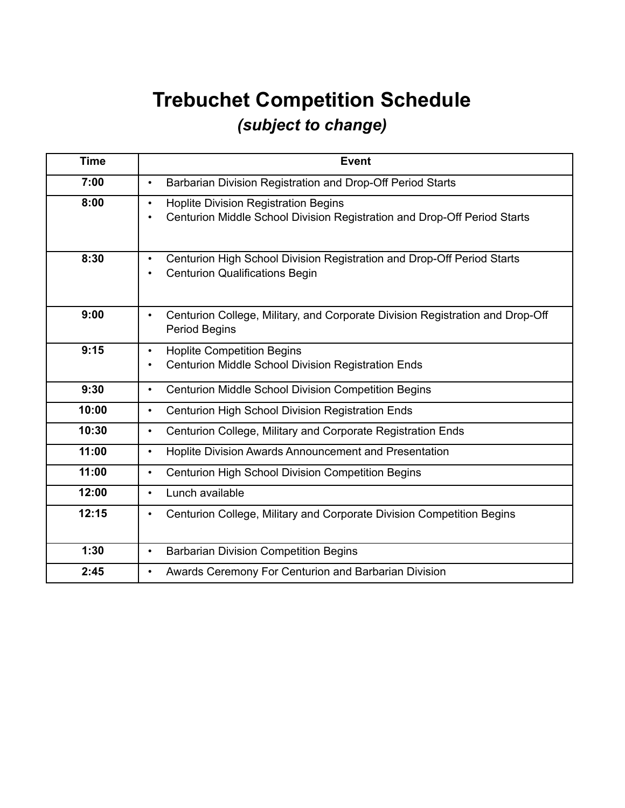# **Trebuchet Competition Schedule** *(subject to change)*

| <b>Time</b> | <b>Event</b>                                                                                                                         |
|-------------|--------------------------------------------------------------------------------------------------------------------------------------|
| 7:00        | Barbarian Division Registration and Drop-Off Period Starts<br>$\bullet$                                                              |
| 8:00        | <b>Hoplite Division Registration Begins</b><br>$\bullet$<br>Centurion Middle School Division Registration and Drop-Off Period Starts |
| 8:30        | Centurion High School Division Registration and Drop-Off Period Starts<br>$\bullet$<br><b>Centurion Qualifications Begin</b>         |
| 9:00        | Centurion College, Military, and Corporate Division Registration and Drop-Off<br>$\bullet$<br><b>Period Begins</b>                   |
| 9:15        | <b>Hoplite Competition Begins</b><br>$\bullet$<br>Centurion Middle School Division Registration Ends                                 |
| 9:30        | <b>Centurion Middle School Division Competition Begins</b><br>$\bullet$                                                              |
| 10:00       | Centurion High School Division Registration Ends<br>$\bullet$                                                                        |
| 10:30       | Centurion College, Military and Corporate Registration Ends<br>$\bullet$                                                             |
| 11:00       | Hoplite Division Awards Announcement and Presentation<br>$\bullet$                                                                   |
| 11:00       | <b>Centurion High School Division Competition Begins</b><br>$\bullet$                                                                |
| 12:00       | Lunch available<br>$\bullet$                                                                                                         |
| 12:15       | Centurion College, Military and Corporate Division Competition Begins<br>$\bullet$                                                   |
| 1:30        | <b>Barbarian Division Competition Begins</b><br>$\bullet$                                                                            |
| 2:45        | Awards Ceremony For Centurion and Barbarian Division<br>$\bullet$                                                                    |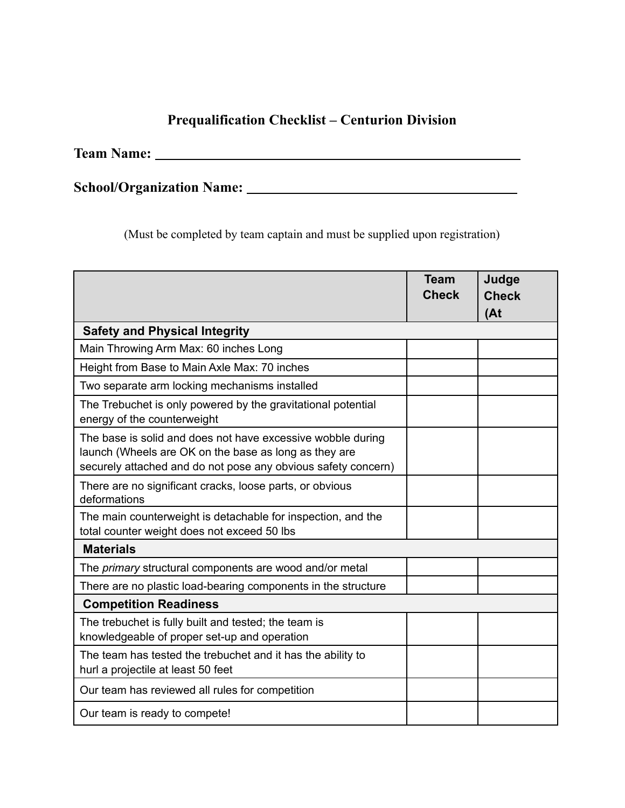### **Prequalification Checklist – Centurion Division**

**Team Name:**

**School/Organization Name:**

(Must be completed by team captain and must be supplied upon registration)

|                                                                                                                                                                                       | <b>Team</b><br><b>Check</b> | Judge<br><b>Check</b><br>(At) |
|---------------------------------------------------------------------------------------------------------------------------------------------------------------------------------------|-----------------------------|-------------------------------|
| <b>Safety and Physical Integrity</b>                                                                                                                                                  |                             |                               |
| Main Throwing Arm Max: 60 inches Long                                                                                                                                                 |                             |                               |
| Height from Base to Main Axle Max: 70 inches                                                                                                                                          |                             |                               |
| Two separate arm locking mechanisms installed                                                                                                                                         |                             |                               |
| The Trebuchet is only powered by the gravitational potential<br>energy of the counterweight                                                                                           |                             |                               |
| The base is solid and does not have excessive wobble during<br>launch (Wheels are OK on the base as long as they are<br>securely attached and do not pose any obvious safety concern) |                             |                               |
| There are no significant cracks, loose parts, or obvious<br>deformations                                                                                                              |                             |                               |
| The main counterweight is detachable for inspection, and the<br>total counter weight does not exceed 50 lbs                                                                           |                             |                               |
| <b>Materials</b>                                                                                                                                                                      |                             |                               |
| The primary structural components are wood and/or metal                                                                                                                               |                             |                               |
| There are no plastic load-bearing components in the structure                                                                                                                         |                             |                               |
| <b>Competition Readiness</b>                                                                                                                                                          |                             |                               |
| The trebuchet is fully built and tested; the team is<br>knowledgeable of proper set-up and operation                                                                                  |                             |                               |
| The team has tested the trebuchet and it has the ability to<br>hurl a projectile at least 50 feet                                                                                     |                             |                               |
| Our team has reviewed all rules for competition                                                                                                                                       |                             |                               |
| Our team is ready to compete!                                                                                                                                                         |                             |                               |